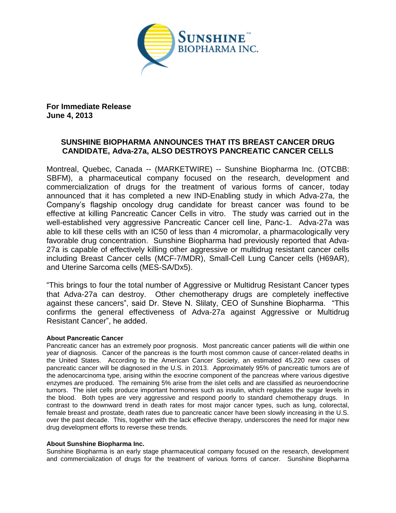

**For Immediate Release June 4, 2013**

# **SUNSHINE BIOPHARMA ANNOUNCES THAT ITS BREAST CANCER DRUG CANDIDATE, Adva-27a, ALSO DESTROYS PANCREATIC CANCER CELLS**

Montreal, Quebec, Canada -- (MARKETWIRE) -- Sunshine Biopharma Inc. (OTCBB: SBFM), a pharmaceutical company focused on the research, development and commercialization of drugs for the treatment of various forms of cancer, today announced that it has completed a new IND-Enabling study in which Adva-27a, the Company's flagship oncology drug candidate for breast cancer was found to be effective at killing Pancreatic Cancer Cells in vitro. The study was carried out in the well-established very aggressive Pancreatic Cancer cell line, Panc-1. Adva-27a was able to kill these cells with an IC50 of less than 4 micromolar, a pharmacologically very favorable drug concentration. Sunshine Biopharma had previously reported that Adva-27a is capable of effectively killing other aggressive or multidrug resistant cancer cells including Breast Cancer cells (MCF-7/MDR), Small-Cell Lung Cancer cells (H69AR), and Uterine Sarcoma cells (MES-SA/Dx5).

"This brings to four the total number of Aggressive or Multidrug Resistant Cancer types that Adva-27a can destroy. Other chemotherapy drugs are completely ineffective against these cancers", said Dr. Steve N. Slilaty, CEO of Sunshine Biopharma. "This confirms the general effectiveness of Adva-27a against Aggressive or Multidrug Resistant Cancer", he added.

## **About Pancreatic Cancer**

Pancreatic cancer has an extremely poor prognosis. Most pancreatic cancer patients will die within one year of diagnosis. Cancer of the pancreas is the fourth most common cause of cancer-related deaths in the United States. According to the American Cancer Society, an estimated 45,220 new cases of pancreatic cancer will be diagnosed in the U.S. in 2013. Approximately 95% of pancreatic tumors are of the adenocarcinoma type, arising within the exocrine component of the pancreas where various digestive enzymes are produced. The remaining 5% arise from the islet cells and are classified as neuroendocrine tumors. The islet cells produce important hormones such as insulin, which regulates the sugar levels in the blood. Both types are very aggressive and respond poorly to standard chemotherapy drugs. In contrast to the downward trend in death rates for most major cancer types, such as lung, colorectal, female breast and prostate, death rates due to pancreatic cancer have been slowly increasing in the U.S. over the past decade. This, together with the lack effective therapy, underscores the need for major new drug development efforts to reverse these trends.

#### **About Sunshine Biopharma Inc.**

Sunshine Biopharma is an early stage pharmaceutical company focused on the research, development and commercialization of drugs for the treatment of various forms of cancer. Sunshine Biopharma